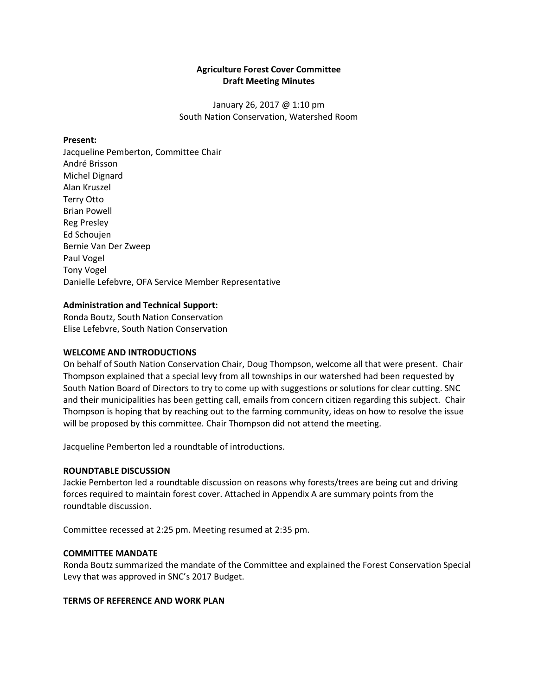# **Agriculture Forest Cover Committee Draft Meeting Minutes**

January 26, 2017 @ 1:10 pm South Nation Conservation, Watershed Room

## **Present:**

Jacqueline Pemberton, Committee Chair André Brisson Michel Dignard Alan Kruszel Terry Otto Brian Powell Reg Presley Ed Schoujen Bernie Van Der Zweep Paul Vogel Tony Vogel Danielle Lefebvre, OFA Service Member Representative

#### **Administration and Technical Support:**

Ronda Boutz, South Nation Conservation Elise Lefebvre, South Nation Conservation

#### **WELCOME AND INTRODUCTIONS**

On behalf of South Nation Conservation Chair, Doug Thompson, welcome all that were present. Chair Thompson explained that a special levy from all townships in our watershed had been requested by South Nation Board of Directors to try to come up with suggestions or solutions for clear cutting. SNC and their municipalities has been getting call, emails from concern citizen regarding this subject. Chair Thompson is hoping that by reaching out to the farming community, ideas on how to resolve the issue will be proposed by this committee. Chair Thompson did not attend the meeting.

Jacqueline Pemberton led a roundtable of introductions.

#### **ROUNDTABLE DISCUSSION**

Jackie Pemberton led a roundtable discussion on reasons why forests/trees are being cut and driving forces required to maintain forest cover. Attached in Appendix A are summary points from the roundtable discussion.

Committee recessed at 2:25 pm. Meeting resumed at 2:35 pm.

#### **COMMITTEE MANDATE**

Ronda Boutz summarized the mandate of the Committee and explained the Forest Conservation Special Levy that was approved in SNC's 2017 Budget.

#### **TERMS OF REFERENCE AND WORK PLAN**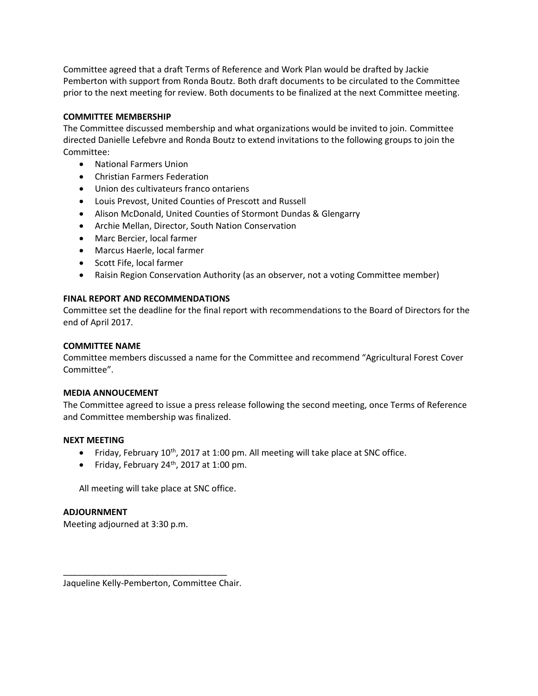Committee agreed that a draft Terms of Reference and Work Plan would be drafted by Jackie Pemberton with support from Ronda Boutz. Both draft documents to be circulated to the Committee prior to the next meeting for review. Both documents to be finalized at the next Committee meeting.

# **COMMITTEE MEMBERSHIP**

The Committee discussed membership and what organizations would be invited to join. Committee directed Danielle Lefebvre and Ronda Boutz to extend invitations to the following groups to join the Committee:

- National Farmers Union
- Christian Farmers Federation
- Union des cultivateurs franco ontariens
- Louis Prevost, United Counties of Prescott and Russell
- Alison McDonald, United Counties of Stormont Dundas & Glengarry
- Archie Mellan, Director, South Nation Conservation
- Marc Bercier, local farmer
- Marcus Haerle, local farmer
- Scott Fife, local farmer
- Raisin Region Conservation Authority (as an observer, not a voting Committee member)

## **FINAL REPORT AND RECOMMENDATIONS**

Committee set the deadline for the final report with recommendations to the Board of Directors for the end of April 2017.

#### **COMMITTEE NAME**

Committee members discussed a name for the Committee and recommend "Agricultural Forest Cover Committee".

#### **MEDIA ANNOUCEMENT**

The Committee agreed to issue a press release following the second meeting, once Terms of Reference and Committee membership was finalized.

#### **NEXT MEETING**

- Friday, February 10<sup>th</sup>, 2017 at 1:00 pm. All meeting will take place at SNC office.
- Friday, February  $24<sup>th</sup>$ , 2017 at 1:00 pm.

All meeting will take place at SNC office.

## **ADJOURNMENT**

Meeting adjourned at 3:30 p.m.

Jaqueline Kelly-Pemberton, Committee Chair.

\_\_\_\_\_\_\_\_\_\_\_\_\_\_\_\_\_\_\_\_\_\_\_\_\_\_\_\_\_\_\_\_\_\_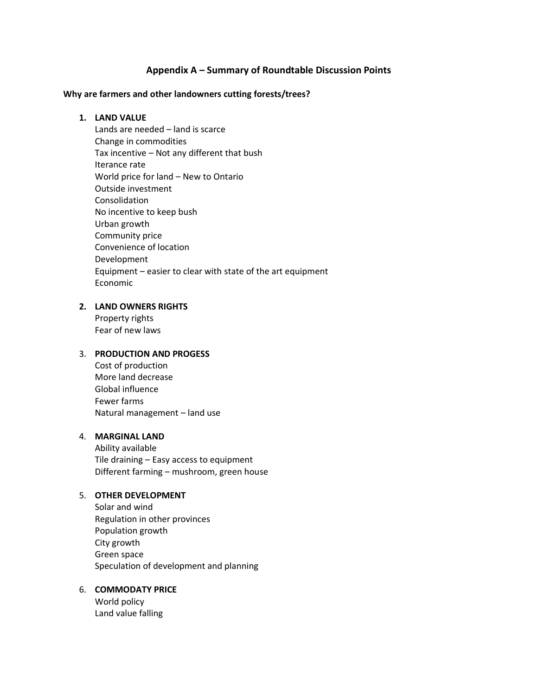# **Appendix A – Summary of Roundtable Discussion Points**

#### **Why are farmers and other landowners cutting forests/trees?**

#### **1. LAND VALUE**

Lands are needed – land is scarce Change in commodities Tax incentive – Not any different that bush Iterance rate World price for land – New to Ontario Outside investment Consolidation No incentive to keep bush Urban growth Community price Convenience of location Development Equipment – easier to clear with state of the art equipment Economic

## **2. LAND OWNERS RIGHTS**

Property rights Fear of new laws

# 3. **PRODUCTION AND PROGESS**

Cost of production More land decrease Global influence Fewer farms Natural management – land use

### 4. **MARGINAL LAND**

Ability available Tile draining – Easy access to equipment Different farming – mushroom, green house

## 5. **OTHER DEVELOPMENT**

Solar and wind Regulation in other provinces Population growth City growth Green space Speculation of development and planning

# 6. **COMMODATY PRICE**

World policy Land value falling